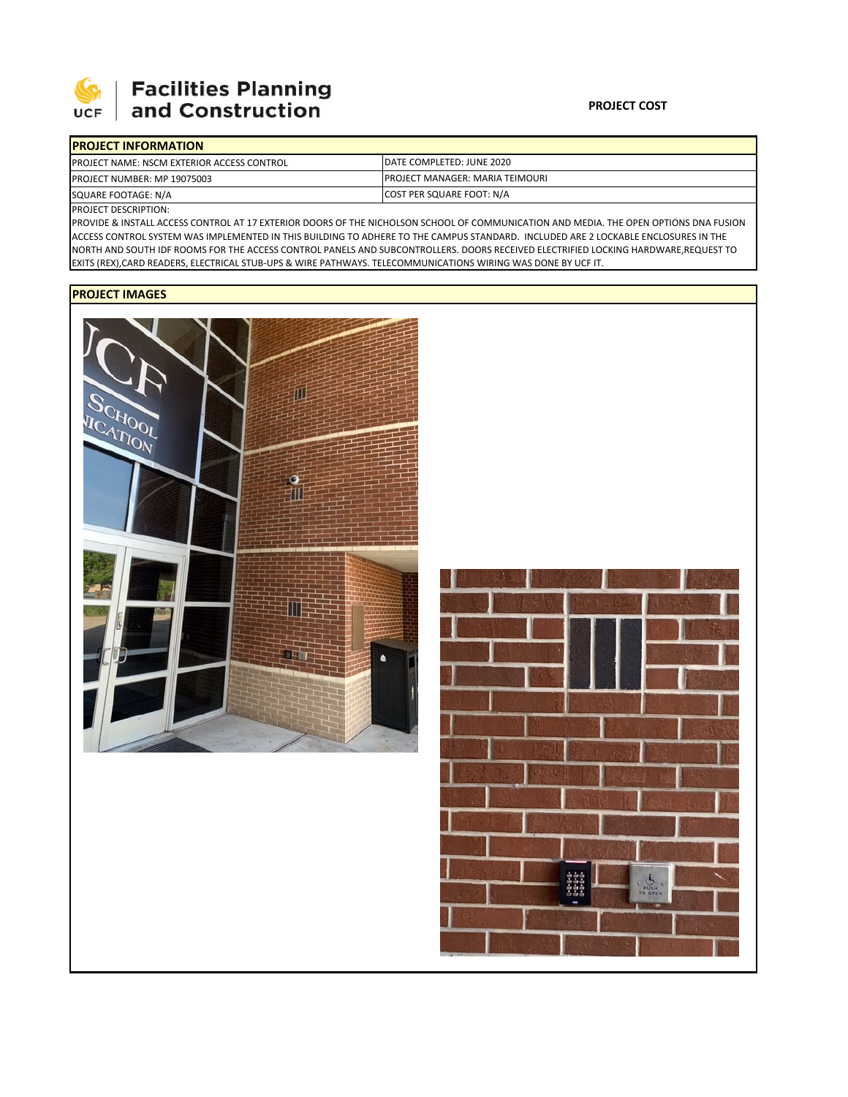

## **Facilities Planning** and Construction

| <b>IPROJECT INFORMATION</b>                        |                                         |  |  |  |
|----------------------------------------------------|-----------------------------------------|--|--|--|
| <b>IPROJECT NAME: NSCM EXTERIOR ACCESS CONTROL</b> | DATE COMPLETED: JUNE 2020               |  |  |  |
| <b>PROJECT NUMBER: MP 19075003</b>                 | <b>IPROJECT MANAGER: MARIA TEIMOURI</b> |  |  |  |
| SQUARE FOOTAGE: N/A                                | COST PER SQUARE FOOT: N/A               |  |  |  |

PROJECT DESCRIPTION:

PROVIDE & INSTALL ACCESS CONTROL AT 17 EXTERIOR DOORS OF THE NICHOLSON SCHOOL OF COMMUNICATION AND MEDIA. THE OPEN OPTIONS DNA FUSION ACCESS CONTROL SYSTEM WAS IMPLEMENTED IN THIS BUILDING TO ADHERE TO THE CAMPUS STANDARD. INCLUDED ARE 2 LOCKABLE ENCLOSURES IN THE NORTH AND SOUTH IDF ROOMS FOR THE ACCESS CONTROL PANELS AND SUBCONTROLLERS. DOORS RECEIVED ELECTRIFIED LOCKING HARDWARE,REQUEST TO EXITS (REX),CARD READERS, ELECTRICAL STUB‐UPS & WIRE PATHWAYS. TELECOMMUNICATIONS WIRING WAS DONE BY UCF IT.

## **PROJECT IMAGES**